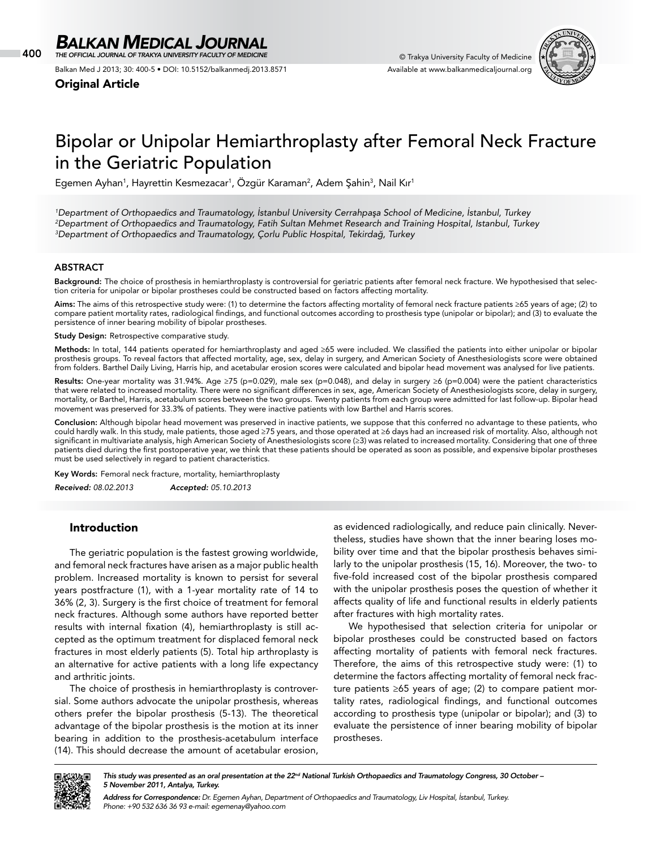400 © Trakya University Faculty of Medicine *THE OFFICIAL JOURNAL OF TRAKYA UNIVERSITY FACULTY OF MEDICINE*

Balkan Med J 2013; 30: 400-5 • DOI: 10.5152/balkanmedj.2013.8571

Original Article



# Bipolar or Unipolar Hemiarthroplasty after Femoral Neck Fracture in the Geriatric Population

Egemen Ayhan<sup>1</sup>, Hayrettin Kesmezacar<sup>1</sup>, Özgür Karaman<sup>2</sup>, Adem Şahin<sup>3</sup>, Nail Kır<sup>1</sup>

*1 Department of Orthopaedics and Traumatology, İstanbul University Cerrahpaşa School of Medicine, İstanbul, Turkey 2 Department of Orthopaedics and Traumatology, Fatih Sultan Mehmet Research and Training Hospital, Istanbul, Turkey 3 Department of Orthopaedics and Traumatology, Çorlu Public Hospital, Tekirdağ, Turkey* 

#### ABSTRACT

Background: The choice of prosthesis in hemiarthroplasty is controversial for geriatric patients after femoral neck fracture. We hypothesised that selection criteria for unipolar or bipolar prostheses could be constructed based on factors affecting mortality.

Aims: The aims of this retrospective study were: (1) to determine the factors affecting mortality of femoral neck fracture patients ≥65 years of age; (2) to compare patient mortality rates, radiological findings, and functional outcomes according to prosthesis type (unipolar or bipolar); and (3) to evaluate the persistence of inner bearing mobility of bipolar prostheses.

Study Design: Retrospective comparative study.

Methods: In total, 144 patients operated for hemiarthroplasty and aged ≥65 were included. We classified the patients into either unipolar or bipolar prosthesis groups. To reveal factors that affected mortality, age, sex, delay in surgery, and American Society of Anesthesiologists score were obtained from folders. Barthel Daily Living, Harris hip, and acetabular erosion scores were calculated and bipolar head movement was analysed for live patients.

Results: One-year mortality was 31.94%. Age ≥75 (p=0.029), male sex (p=0.048), and delay in surgery ≥6 (p=0.004) were the patient characteristics that were related to increased mortality. There were no significant differences in sex, age, American Society of Anesthesiologists score, delay in surgery, mortality, or Barthel, Harris, acetabulum scores between the two groups. Twenty patients from each group were admitted for last follow-up. Bipolar head movement was preserved for 33.3% of patients. They were inactive patients with low Barthel and Harris scores.

Conclusion: Although bipolar head movement was preserved in inactive patients, we suppose that this conferred no advantage to these patients, who could hardly walk. In this study, male patients, those aged ≥75 years, and those operated at ≥6 days had an increased risk of mortality. Also, although not significant in multivariate analysis, high American Society of Anesthesiologists score (≥3) was related to increased mortality. Considering that one of three patients died during the first postoperative year, we think that these patients should be operated as soon as possible, and expensive bipolar prostheses must be used selectively in regard to patient characteristics.

Key Words: Femoral neck fracture, mortality, hemiarthroplasty

*Received: 08.02.2013 Accepted: 05.10.2013*

### Introduction

The geriatric population is the fastest growing worldwide, and femoral neck fractures have arisen as a major public health problem. Increased mortality is known to persist for several years postfracture (1), with a 1-year mortality rate of 14 to 36% (2, 3). Surgery is the first choice of treatment for femoral neck fractures. Although some authors have reported better results with internal fixation (4), hemiarthroplasty is still accepted as the optimum treatment for displaced femoral neck fractures in most elderly patients (5). Total hip arthroplasty is an alternative for active patients with a long life expectancy and arthritic joints.

The choice of prosthesis in hemiarthroplasty is controversial. Some authors advocate the unipolar prosthesis, whereas others prefer the bipolar prosthesis (5-13). The theoretical advantage of the bipolar prosthesis is the motion at its inner bearing in addition to the prosthesis-acetabulum interface (14). This should decrease the amount of acetabular erosion,

as evidenced radiologically, and reduce pain clinically. Nevertheless, studies have shown that the inner bearing loses mobility over time and that the bipolar prosthesis behaves similarly to the unipolar prosthesis (15, 16). Moreover, the two- to five-fold increased cost of the bipolar prosthesis compared with the unipolar prosthesis poses the question of whether it affects quality of life and functional results in elderly patients after fractures with high mortality rates.

We hypothesised that selection criteria for unipolar or bipolar prostheses could be constructed based on factors affecting mortality of patients with femoral neck fractures. Therefore, the aims of this retrospective study were: (1) to determine the factors affecting mortality of femoral neck fracture patients ≥65 years of age; (2) to compare patient mortality rates, radiological findings, and functional outcomes according to prosthesis type (unipolar or bipolar); and (3) to evaluate the persistence of inner bearing mobility of bipolar prostheses.



*This study was presented as an oral presentation at the 22nd National Turkish Orthopaedics and Traumatology Congress, 30 October – 5 November 2011, Antalya, Turkey.*

*Address for Correspondence: Dr. Egemen Ayhan, Department of Orthopaedics and Traumatology, Liv Hospital, İstanbul, Turkey. Phone: +90 532 636 36 93 e-mail: egemenay@yahoo.com*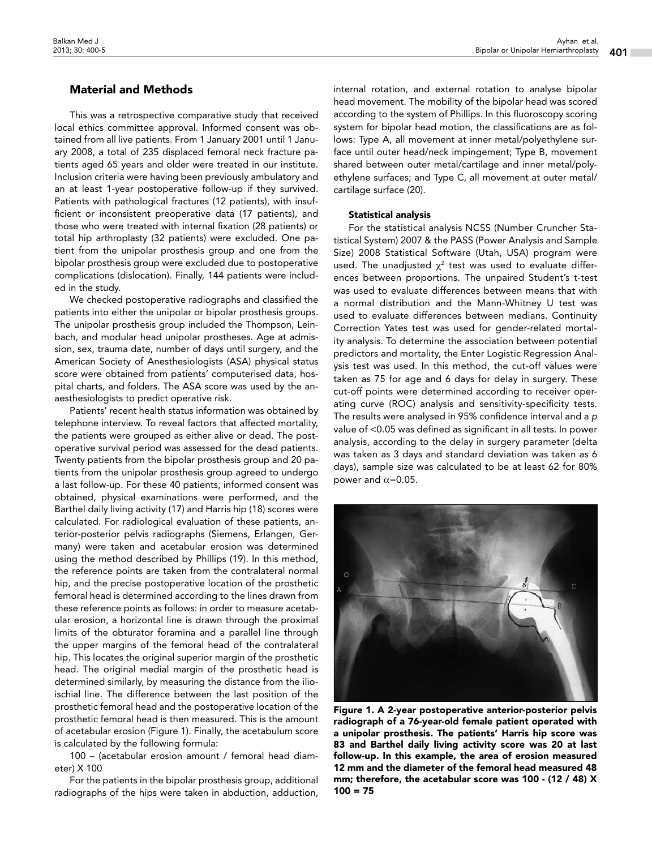# Material and Methods

This was a retrospective comparative study that received local ethics committee approval. Informed consent was obtained from all live patients. From 1 January 2001 until 1 January 2008, a total of 235 displaced femoral neck fracture patients aged 65 years and older were treated in our institute. Inclusion criteria were having been previously ambulatory and an at least 1-year postoperative follow-up if they survived. Patients with pathological fractures (12 patients), with insufficient or inconsistent preoperative data (17 patients), and those who were treated with internal fixation (28 patients) or total hip arthroplasty (32 patients) were excluded. One patient from the unipolar prosthesis group and one from the bipolar prosthesis group were excluded due to postoperative complications (dislocation). Finally, 144 patients were included in the study.

We checked postoperative radiographs and classified the patients into either the unipolar or bipolar prosthesis groups. The unipolar prosthesis group included the Thompson, Leinbach, and modular head unipolar prostheses. Age at admission, sex, trauma date, number of days until surgery, and the American Society of Anesthesiologists (ASA) physical status score were obtained from patients' computerised data, hospital charts, and folders. The ASA score was used by the anaesthesiologists to predict operative risk.

Patients' recent health status information was obtained by telephone interview. To reveal factors that affected mortality, the patients were grouped as either alive or dead. The postoperative survival period was assessed for the dead patients. Twenty patients from the bipolar prosthesis group and 20 patients from the unipolar prosthesis group agreed to undergo a last follow-up. For these 40 patients, informed consent was obtained, physical examinations were performed, and the Barthel daily living activity (17) and Harris hip (18) scores were calculated. For radiological evaluation of these patients, anterior-posterior pelvis radiographs (Siemens, Erlangen, Germany) were taken and acetabular erosion was determined using the method described by Phillips (19). In this method, the reference points are taken from the contralateral normal hip, and the precise postoperative location of the prosthetic femoral head is determined according to the lines drawn from these reference points as follows: in order to measure acetabular erosion, a horizontal line is drawn through the proximal limits of the obturator foramina and a parallel line through the upper margins of the femoral head of the contralateral hip. This locates the original superior margin of the prosthetic head. The original medial margin of the prosthetic head is determined similarly, by measuring the distance from the ilioischial line. The difference between the last position of the prosthetic femoral head and the postoperative location of the prosthetic femoral head is then measured. This is the amount of acetabular erosion (Figure 1). Finally, the acetabulum score is calculated by the following formula:

100 – (acetabular erosion amount / femoral head diameter) X 100

For the patients in the bipolar prosthesis group, additional radiographs of the hips were taken in abduction, adduction,

internal rotation, and external rotation to analyse bipolar head movement. The mobility of the bipolar head was scored according to the system of Phillips. In this fluoroscopy scoring system for bipolar head motion, the classifications are as follows: Type A, all movement at inner metal/polyethylene surface until outer head/neck impingement; Type B, movement shared between outer metal/cartilage and inner metal/polyethylene surfaces; and Type C, all movement at outer metal/ cartilage surface (20).

#### Statistical analysis

For the statistical analysis NCSS (Number Cruncher Statistical System) 2007 & the PASS (Power Analysis and Sample Size) 2008 Statistical Software (Utah, USA) program were used. The unadjusted  $\chi^2$  test was used to evaluate differences between proportions. The unpaired Student's t-test was used to evaluate differences between means that with a normal distribution and the Mann-Whitney U test was used to evaluate differences between medians. Continuity Correction Yates test was used for gender-related mortality analysis. To determine the association between potential predictors and mortality, the Enter Logistic Regression Analysis test was used. In this method, the cut-off values were taken as 75 for age and 6 days for delay in surgery. These cut-off points were determined according to receiver operating curve (ROC) analysis and sensitivity-specificity tests. The results were analysed in 95% confidence interval and a *p* value of <0.05 was defined as significant in all tests. In power analysis, according to the delay in surgery parameter (delta was taken as 3 days and standard deviation was taken as 6 days), sample size was calculated to be at least 62 for 80% power and  $\alpha$ =0.05.



Figure 1. A 2-year postoperative anterior-posterior pelvis radiograph of a 76-year-old female patient operated with a unipolar prosthesis. The patients' Harris hip score was 83 and Barthel daily living activity score was 20 at last follow-up. In this example, the area of erosion measured 12 mm and the diameter of the femoral head measured 48 mm; therefore, the acetabular score was 100 - (12 / 48) X  $100 = 75$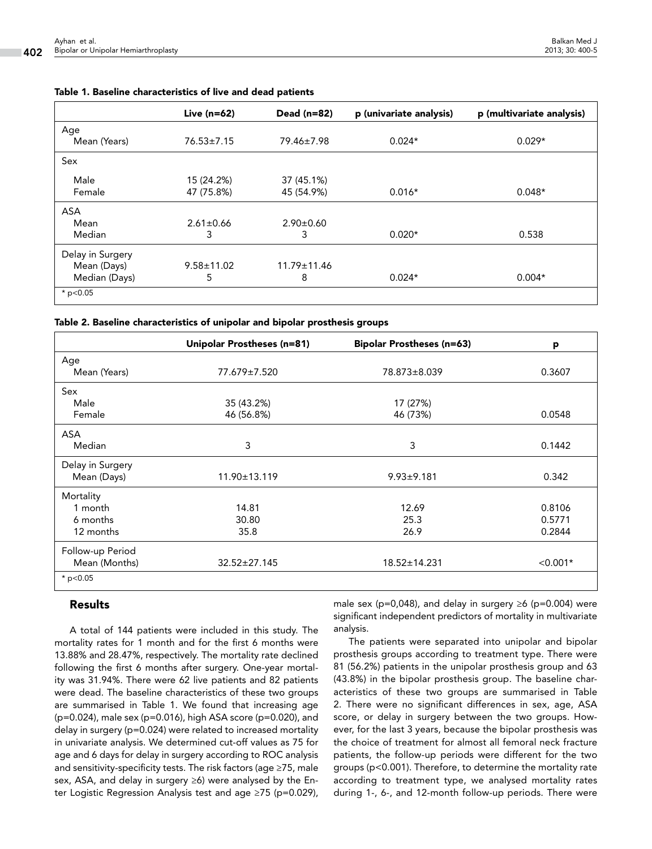|                  | Live $(n=62)$    | Dead (n=82)       | p (univariate analysis) | p (multivariate analysis) |
|------------------|------------------|-------------------|-------------------------|---------------------------|
| Age              |                  |                   |                         |                           |
| Mean (Years)     | $76.53 \pm 7.15$ | 79.46±7.98        | $0.024*$                | $0.029*$                  |
| Sex              |                  |                   |                         |                           |
| Male             | 15 (24.2%)       | 37 (45.1%)        |                         |                           |
| Female           | 47 (75.8%)       | 45 (54.9%)        | $0.016*$                | $0.048*$                  |
| ASA              |                  |                   |                         |                           |
| Mean             | $2.61 \pm 0.66$  | $2.90 \pm 0.60$   |                         |                           |
| Median           | 3                | 3                 | $0.020*$                | 0.538                     |
| Delay in Surgery |                  |                   |                         |                           |
| Mean (Days)      | $9.58 \pm 11.02$ | $11.79 \pm 11.46$ |                         |                           |
| Median (Days)    | 5                | 8                 | $0.024*$                | $0.004*$                  |
| * $p < 0.05$     |                  |                   |                         |                           |

#### Table 1. Baseline characteristics of live and dead patients

|                  | Unipolar Prostheses (n=81) | <b>Bipolar Prostheses (n=63)</b> | p          |
|------------------|----------------------------|----------------------------------|------------|
| Age              |                            |                                  |            |
| Mean (Years)     | 77.679±7.520               | 78.873±8.039                     | 0.3607     |
| Sex              |                            |                                  |            |
| Male             | 35 (43.2%)                 | 17 (27%)                         |            |
| Female           | 46 (56.8%)                 | 46 (73%)                         | 0.0548     |
| <b>ASA</b>       |                            |                                  |            |
| Median           | 3                          | 3                                | 0.1442     |
| Delay in Surgery |                            |                                  |            |
| Mean (Days)      | $11.90 \pm 13.119$         | $9.93 \pm 9.181$                 | 0.342      |
| Mortality        |                            |                                  |            |
| 1 month          | 14.81                      | 12.69                            | 0.8106     |
| 6 months         | 30.80                      | 25.3                             | 0.5771     |
| 12 months        | 35.8                       | 26.9                             | 0.2844     |
| Follow-up Period |                            |                                  |            |
| Mean (Months)    | $32.52 \pm 27.145$         | 18.52±14.231                     | $< 0.001*$ |
| * $p < 0.05$     |                            |                                  |            |

## Results

A total of 144 patients were included in this study. The mortality rates for 1 month and for the first 6 months were 13.88% and 28.47%, respectively. The mortality rate declined following the first 6 months after surgery. One-year mortality was 31.94%. There were 62 live patients and 82 patients were dead. The baseline characteristics of these two groups are summarised in Table 1. We found that increasing age (p=0.024), male sex (p=0.016), high ASA score (p=0.020), and delay in surgery (p=0.024) were related to increased mortality in univariate analysis. We determined cut-off values as 75 for age and 6 days for delay in surgery according to ROC analysis and sensitivity-specificity tests. The risk factors (age ≥75, male sex, ASA, and delay in surgery ≥6) were analysed by the Enter Logistic Regression Analysis test and age ≥75 (p=0.029),

male sex (p=0,048), and delay in surgery ≥6 (p=0.004) were significant independent predictors of mortality in multivariate analysis.

The patients were separated into unipolar and bipolar prosthesis groups according to treatment type. There were 81 (56.2%) patients in the unipolar prosthesis group and 63 (43.8%) in the bipolar prosthesis group. The baseline characteristics of these two groups are summarised in Table 2. There were no significant differences in sex, age, ASA score, or delay in surgery between the two groups. However, for the last 3 years, because the bipolar prosthesis was the choice of treatment for almost all femoral neck fracture patients, the follow-up periods were different for the two groups (p<0.001). Therefore, to determine the mortality rate according to treatment type, we analysed mortality rates during 1-, 6-, and 12-month follow-up periods. There were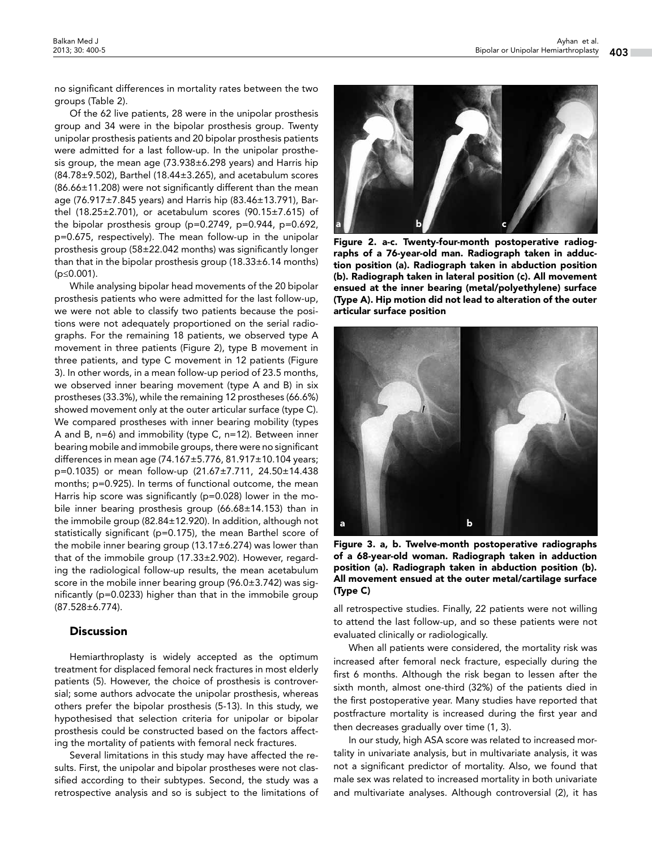no significant differences in mortality rates between the two groups (Table 2).

Of the 62 live patients, 28 were in the unipolar prosthesis group and 34 were in the bipolar prosthesis group. Twenty unipolar prosthesis patients and 20 bipolar prosthesis patients were admitted for a last follow-up. In the unipolar prosthesis group, the mean age (73.938±6.298 years) and Harris hip (84.78±9.502), Barthel (18.44±3.265), and acetabulum scores (86.66±11.208) were not significantly different than the mean age (76.917±7.845 years) and Harris hip (83.46±13.791), Barthel (18.25±2.701), or acetabulum scores (90.15±7.615) of the bipolar prosthesis group (p=0.2749, p=0.944, p=0.692, p=0.675, respectively). The mean follow-up in the unipolar prosthesis group (58±22.042 months) was significantly longer than that in the bipolar prosthesis group (18.33±6.14 months) (p≤0.001).

While analysing bipolar head movements of the 20 bipolar prosthesis patients who were admitted for the last follow-up, we were not able to classify two patients because the positions were not adequately proportioned on the serial radiographs. For the remaining 18 patients, we observed type A movement in three patients (Figure 2), type B movement in three patients, and type C movement in 12 patients (Figure 3). In other words, in a mean follow-up period of 23.5 months, we observed inner bearing movement (type A and B) in six prostheses (33.3%), while the remaining 12 prostheses (66.6%) showed movement only at the outer articular surface (type C). We compared prostheses with inner bearing mobility (types A and B, n=6) and immobility (type C, n=12). Between inner bearing mobile and immobile groups, there were no significant differences in mean age (74.167±5.776, 81.917±10.104 years; p=0.1035) or mean follow-up (21.67±7.711, 24.50±14.438 months; p=0.925). In terms of functional outcome, the mean Harris hip score was significantly (p=0.028) lower in the mobile inner bearing prosthesis group (66.68±14.153) than in the immobile group (82.84±12.920). In addition, although not statistically significant (p=0.175), the mean Barthel score of the mobile inner bearing group  $(13.17 \pm 6.274)$  was lower than that of the immobile group (17.33±2.902). However, regarding the radiological follow-up results, the mean acetabulum score in the mobile inner bearing group (96.0±3.742) was significantly (p=0.0233) higher than that in the immobile group (87.528±6.774).

#### **Discussion**

Hemiarthroplasty is widely accepted as the optimum treatment for displaced femoral neck fractures in most elderly patients (5). However, the choice of prosthesis is controversial; some authors advocate the unipolar prosthesis, whereas others prefer the bipolar prosthesis (5-13). In this study, we hypothesised that selection criteria for unipolar or bipolar prosthesis could be constructed based on the factors affecting the mortality of patients with femoral neck fractures.

Several limitations in this study may have affected the results. First, the unipolar and bipolar prostheses were not classified according to their subtypes. Second, the study was a retrospective analysis and so is subject to the limitations of



Figure 2. a-c. Twenty-four-month postoperative radiographs of a 76-year-old man. Radiograph taken in adduction position (a). Radiograph taken in abduction position (b). Radiograph taken in lateral position (c). All movement ensued at the inner bearing (metal/polyethylene) surface (Type A). Hip motion did not lead to alteration of the outer articular surface position



Figure 3. a, b. Twelve-month postoperative radiographs of a 68-year-old woman. Radiograph taken in adduction position (a). Radiograph taken in abduction position (b). All movement ensued at the outer metal/cartilage surface (Type C)

all retrospective studies. Finally, 22 patients were not willing to attend the last follow-up, and so these patients were not evaluated clinically or radiologically.

When all patients were considered, the mortality risk was increased after femoral neck fracture, especially during the first 6 months. Although the risk began to lessen after the sixth month, almost one-third (32%) of the patients died in the first postoperative year. Many studies have reported that postfracture mortality is increased during the first year and then decreases gradually over time (1, 3).

In our study, high ASA score was related to increased mortality in univariate analysis, but in multivariate analysis, it was not a significant predictor of mortality. Also, we found that male sex was related to increased mortality in both univariate and multivariate analyses. Although controversial (2), it has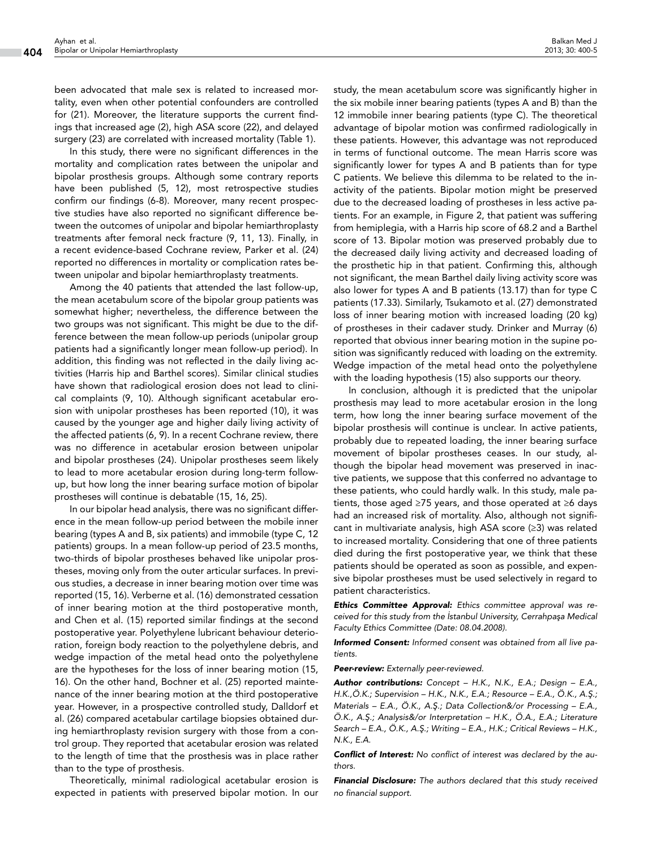been advocated that male sex is related to increased mortality, even when other potential confounders are controlled for (21). Moreover, the literature supports the current findings that increased age (2), high ASA score (22), and delayed surgery (23) are correlated with increased mortality (Table 1).

In this study, there were no significant differences in the mortality and complication rates between the unipolar and bipolar prosthesis groups. Although some contrary reports have been published (5, 12), most retrospective studies confirm our findings (6-8). Moreover, many recent prospective studies have also reported no significant difference between the outcomes of unipolar and bipolar hemiarthroplasty treatments after femoral neck fracture (9, 11, 13). Finally, in a recent evidence-based Cochrane review, Parker et al. (24) reported no differences in mortality or complication rates between unipolar and bipolar hemiarthroplasty treatments.

Among the 40 patients that attended the last follow-up, the mean acetabulum score of the bipolar group patients was somewhat higher; nevertheless, the difference between the two groups was not significant. This might be due to the difference between the mean follow-up periods (unipolar group patients had a significantly longer mean follow-up period). In addition, this finding was not reflected in the daily living activities (Harris hip and Barthel scores). Similar clinical studies have shown that radiological erosion does not lead to clinical complaints (9, 10). Although significant acetabular erosion with unipolar prostheses has been reported (10), it was caused by the younger age and higher daily living activity of the affected patients (6, 9). In a recent Cochrane review, there was no difference in acetabular erosion between unipolar and bipolar prostheses (24). Unipolar prostheses seem likely to lead to more acetabular erosion during long-term followup, but how long the inner bearing surface motion of bipolar prostheses will continue is debatable (15, 16, 25).

In our bipolar head analysis, there was no significant difference in the mean follow-up period between the mobile inner bearing (types A and B, six patients) and immobile (type C, 12 patients) groups. In a mean follow-up period of 23.5 months, two-thirds of bipolar prostheses behaved like unipolar prostheses, moving only from the outer articular surfaces. In previous studies, a decrease in inner bearing motion over time was reported (15, 16). Verberne et al. (16) demonstrated cessation of inner bearing motion at the third postoperative month, and Chen et al. (15) reported similar findings at the second postoperative year. Polyethylene lubricant behaviour deterioration, foreign body reaction to the polyethylene debris, and wedge impaction of the metal head onto the polyethylene are the hypotheses for the loss of inner bearing motion (15, 16). On the other hand, Bochner et al. (25) reported maintenance of the inner bearing motion at the third postoperative year. However, in a prospective controlled study, Dalldorf et al. (26) compared acetabular cartilage biopsies obtained during hemiarthroplasty revision surgery with those from a control group. They reported that acetabular erosion was related to the length of time that the prosthesis was in place rather than to the type of prosthesis.

Theoretically, minimal radiological acetabular erosion is expected in patients with preserved bipolar motion. In our

study, the mean acetabulum score was significantly higher in the six mobile inner bearing patients (types A and B) than the 12 immobile inner bearing patients (type C). The theoretical advantage of bipolar motion was confirmed radiologically in these patients. However, this advantage was not reproduced in terms of functional outcome. The mean Harris score was significantly lower for types A and B patients than for type C patients. We believe this dilemma to be related to the inactivity of the patients. Bipolar motion might be preserved due to the decreased loading of prostheses in less active patients. For an example, in Figure 2, that patient was suffering from hemiplegia, with a Harris hip score of 68.2 and a Barthel score of 13. Bipolar motion was preserved probably due to the decreased daily living activity and decreased loading of the prosthetic hip in that patient. Confirming this, although not significant, the mean Barthel daily living activity score was also lower for types A and B patients (13.17) than for type C patients (17.33). Similarly, Tsukamoto et al. (27) demonstrated loss of inner bearing motion with increased loading (20 kg) of prostheses in their cadaver study. Drinker and Murray (6) reported that obvious inner bearing motion in the supine position was significantly reduced with loading on the extremity. Wedge impaction of the metal head onto the polyethylene with the loading hypothesis (15) also supports our theory.

In conclusion, although it is predicted that the unipolar prosthesis may lead to more acetabular erosion in the long term, how long the inner bearing surface movement of the bipolar prosthesis will continue is unclear. In active patients, probably due to repeated loading, the inner bearing surface movement of bipolar prostheses ceases. In our study, although the bipolar head movement was preserved in inactive patients, we suppose that this conferred no advantage to these patients, who could hardly walk. In this study, male patients, those aged ≥75 years, and those operated at ≥6 days had an increased risk of mortality. Also, although not significant in multivariate analysis, high ASA score (≥3) was related to increased mortality. Considering that one of three patients died during the first postoperative year, we think that these patients should be operated as soon as possible, and expensive bipolar prostheses must be used selectively in regard to patient characteristics.

*Ethics Committee Approval: Ethics committee approval was received for this study from the İstanbul University, Cerrahpaşa Medical Faculty Ethics Committee (Date: 08.04.2008).*

*Informed Consent: Informed consent was obtained from all live patients.*

*Peer-review: Externally peer-reviewed.*

*Author contributions: Concept – H.K., N.K., E.A.; Design – E.A., H.K.,Ö.K.; Supervision – H.K., N.K., E.A.; Resource – E.A., Ö.K., A.Ş.; Materials – E.A., Ö.K., A.Ş.; Data Collection&/or Processing – E.A., Ö.K., A.Ş.; Analysis&/or Interpretation – H.K., Ö.A., E.A.; Literature Search – E.A., Ö.K., A.Ş.; Writing – E.A., H.K.; Critical Reviews – H.K., N.K., E.A.*

*Conflict of Interest: No conflict of interest was declared by the authors.*

*Financial Disclosure: The authors declared that this study received no financial support.*